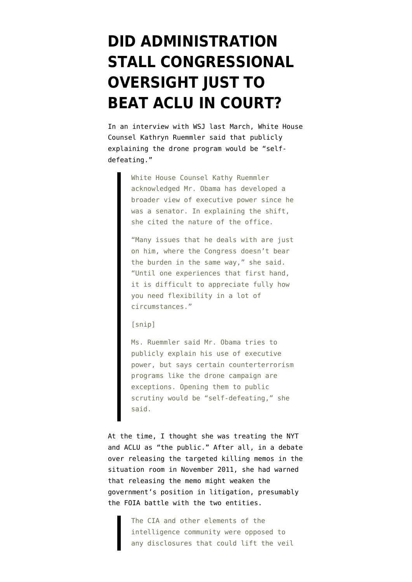## **[DID ADMINISTRATION](https://www.emptywheel.net/2013/02/08/did-administration-stall-congressional-oversight-just-to-beat-aclu-in-court/) [STALL CONGRESSIONAL](https://www.emptywheel.net/2013/02/08/did-administration-stall-congressional-oversight-just-to-beat-aclu-in-court/) [OVERSIGHT JUST TO](https://www.emptywheel.net/2013/02/08/did-administration-stall-congressional-oversight-just-to-beat-aclu-in-court/) [BEAT ACLU IN COURT?](https://www.emptywheel.net/2013/02/08/did-administration-stall-congressional-oversight-just-to-beat-aclu-in-court/)**

In [an interview with WSJ last March](http://online.wsj.com/article/SB10001424052702303812904577292273665694712.html), White House Counsel Kathryn Ruemmler said that publicly explaining the drone program would be "selfdefeating."

> White House Counsel Kathy Ruemmler acknowledged Mr. Obama has developed a broader view of executive power since he was a senator. In explaining the shift, she cited the nature of the office.

> "Many issues that he deals with are just on him, where the Congress doesn't bear the burden in the same way," she said. "Until one experiences that first hand, it is difficult to appreciate fully how you need flexibility in a lot of circumstances."

[snip]

Ms. Ruemmler said Mr. Obama tries to publicly explain his use of executive power, but says certain counterterrorism programs like the drone campaign are exceptions. Opening them to public scrutiny would be "self-defeating," she said.

At the time, I [thought](http://www.emptywheel.net/2012/03/30/white-house-counsel-kathy-ruemmler-vows-not-to-let-the-white-house-be-defeated-by-actual-citizens/) she was treating the NYT and ACLU as "the public." After all, in a debate over releasing the targeted killing memos in the situation room in November 2011, [she had warned](http://www.thedailybeast.com/newsweek/2012/01/22/obama-team-to-break-silence-on-al-awlaki-killing.html) that releasing the memo might weaken the government's position in litigation, presumably the FOIA battle with the two entities.

> The CIA and other elements of the intelligence community were opposed to any disclosures that could lift the veil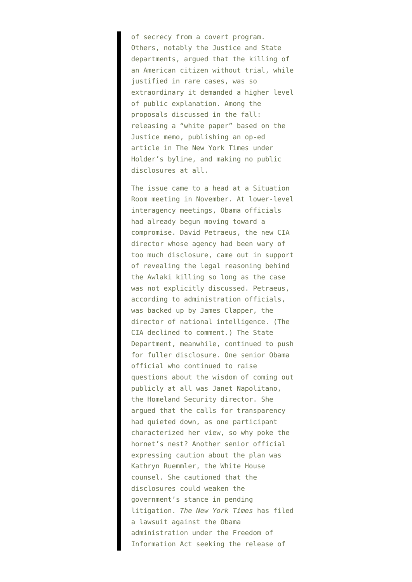of secrecy from a covert program. Others, notably the Justice and State departments, argued that the killing of an American citizen without trial, while justified in rare cases, was so extraordinary it demanded a higher level of public explanation. Among the proposals discussed in the fall: releasing a "white paper" based on the Justice memo, publishing an op-ed article in The New York Times under Holder's byline, and making no public disclosures at all.

The issue came to a head at a Situation Room meeting in November. At lower-level interagency meetings, Obama officials had already begun moving toward a compromise. David Petraeus, the new CIA director whose agency had been wary of too much disclosure, came out in support of revealing the legal reasoning behind the Awlaki killing so long as the case was not explicitly discussed. Petraeus, according to administration officials, was backed up by James Clapper, the director of national intelligence. (The CIA declined to comment.) The State Department, meanwhile, continued to push for fuller disclosure. One senior Obama official who continued to raise questions about the wisdom of coming out publicly at all was Janet Napolitano, the Homeland Security director. She argued that the calls for transparency had quieted down, as one participant characterized her view, so why poke the hornet's nest? Another senior official expressing caution about the plan was Kathryn Ruemmler, the White House counsel. She cautioned that the disclosures could weaken the government's stance in pending litigation. *The New York Times* has filed a lawsuit against the Obama administration under the Freedom of Information Act seeking the release of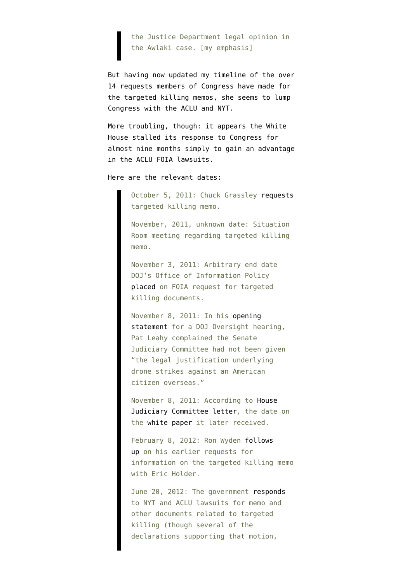the Justice Department legal opinion in the Awlaki case. [my emphasis]

But having now updated [my timeline of the over](http://www.emptywheel.net/2013/02/08/members-of-congress-have-asked-for-the-targeted-killing-memos-14-times/) [14 requests](http://www.emptywheel.net/2013/02/08/members-of-congress-have-asked-for-the-targeted-killing-memos-14-times/) members of Congress have made for the targeted killing memos, she seems to lump Congress with the ACLU and NYT.

More troubling, though: it appears the White House stalled its response to Congress for almost nine months simply to gain an advantage in the ACLU FOIA lawsuits.

Here are the relevant dates:

October 5, 2011: Chuck Grassley [requests](http://www.emptywheel.net/wp-content/uploads/2012/07/100511-Letter-to-AG-Holder.pdf) targeted killing memo.

November, 2011, unknown date: Situation Room meeting regarding targeted killing memo.

November 3, 2011: Arbitrary end date DOJ's Office of Information Policy [placed](http://www.emptywheel.net/2012/06/26/why-is-doj-deliberately-hiding-information-responsive-to-aclus-anwar-al-awlaki-foia/) on FOIA request for targeted killing documents.

November 8, 2011: In his [opening](http://www.leahy.senate.gov/press/statement-of-senator-patrick-leahy-at-a-hearing-on-oversight-of-the-department-of-justice) [statement](http://www.leahy.senate.gov/press/statement-of-senator-patrick-leahy-at-a-hearing-on-oversight-of-the-department-of-justice) for a DOJ Oversight hearing, Pat Leahy complained the Senate Judiciary Committee had not been given "the legal justification underlying drone strikes against an American citizen overseas."

November 8, 2011: According to [House](http://democrats.judiciary.house.gov/sites/democrats.judiciary.house.gov/files/Conyers-Nadler-Scott121204.pdf) [Judiciary Committee letter](http://democrats.judiciary.house.gov/sites/democrats.judiciary.house.gov/files/Conyers-Nadler-Scott121204.pdf), the date on the [white paper](http://msnbcmedia.msn.com/i/msnbc/sections/news/020413_DOJ_White_Paper.pdf) it later received.

February 8, 2012: Ron Wyden [follows](http://www.wyden.senate.gov/news/press-releases/wyden-continues-to-press-justice-department-to-explain-the-extent-of-its-authority-to-kill-americans) [up](http://www.wyden.senate.gov/news/press-releases/wyden-continues-to-press-justice-department-to-explain-the-extent-of-its-authority-to-kill-americans) on his earlier requests for information on the targeted killing memo with Eric Holder.

June 20, 2012: The government [responds](http://www.aclu.org/files/assets/https___ecf.nysd_.uscourts.gov_cgi-bin_show_temp.pl_file10176016-0--17573.pdf) to NYT and ACLU lawsuits for memo and other documents related to targeted killing (though several of the declarations supporting that motion,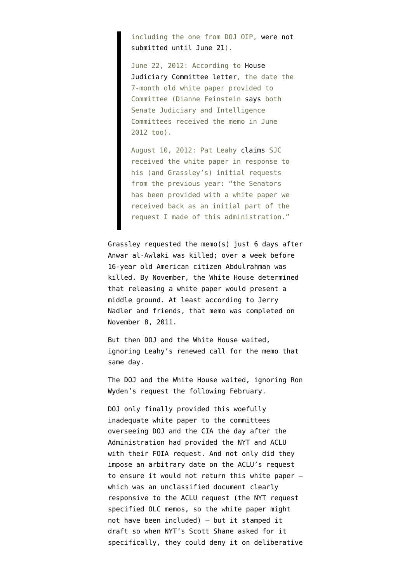including the one from DOJ OIP, [were not](http://ia600800.us.archive.org/2/items/gov.uscourts.nysd.391308/gov.uscourts.nysd.391308.docket.html) [submitted until June 21\)](http://ia600800.us.archive.org/2/items/gov.uscourts.nysd.391308/gov.uscourts.nysd.391308.docket.html).

June 22, 2012: According to [House](http://democrats.judiciary.house.gov/sites/democrats.judiciary.house.gov/files/Conyers-Nadler-Scott121204.pdf) [Judiciary Committee letter](http://democrats.judiciary.house.gov/sites/democrats.judiciary.house.gov/files/Conyers-Nadler-Scott121204.pdf), the date the 7-month old white paper provided to Committee (Dianne Feinstein [says](http://www.feinstein.senate.gov/public/index.cfm/press-releases?ID=f02275d9-7638-4613-b90b-3aa8c624eaf8) both Senate Judiciary and Intelligence Committees received the memo in June 2012 too).

August 10, 2012: Pat Leahy [claims](http://www.emptywheel.net/2012/08/10/cornyn-called-targeted-killing-a-program-too/) SJC received the white paper in response to his (and Grassley's) initial requests from the previous year: "the Senators has been provided with a white paper we received back as an initial part of the request I made of this administration."

Grassley requested the memo(s) just 6 days after Anwar al-Awlaki was killed; over a week before 16-year old American citizen Abdulrahman was killed. By November, the White House determined that releasing a white paper would present a middle ground. At least according to Jerry Nadler and friends, that memo was completed on November 8, 2011.

But then DOJ and the White House waited, ignoring Leahy's renewed call for the memo that same day.

The DOJ and the White House waited, ignoring Ron Wyden's request the following February.

DOJ only finally provided this woefully inadequate white paper to the committees overseeing DOJ and the CIA the day after the Administration had provided the NYT and ACLU with their FOIA request. And not only did they impose an arbitrary date on the ACLU's request to ensure it would not return this white paper which was an unclassified document clearly responsive to the ACLU request (the NYT request specified OLC memos, so the white paper might not have been included) — but it [stamped it](http://www.emptywheel.net/2013/02/06/the-administrations-draft-foia-claims/) [draft](http://www.emptywheel.net/2013/02/06/the-administrations-draft-foia-claims/) so when NYT's Scott Shane asked for it specifically, they could deny it on deliberative